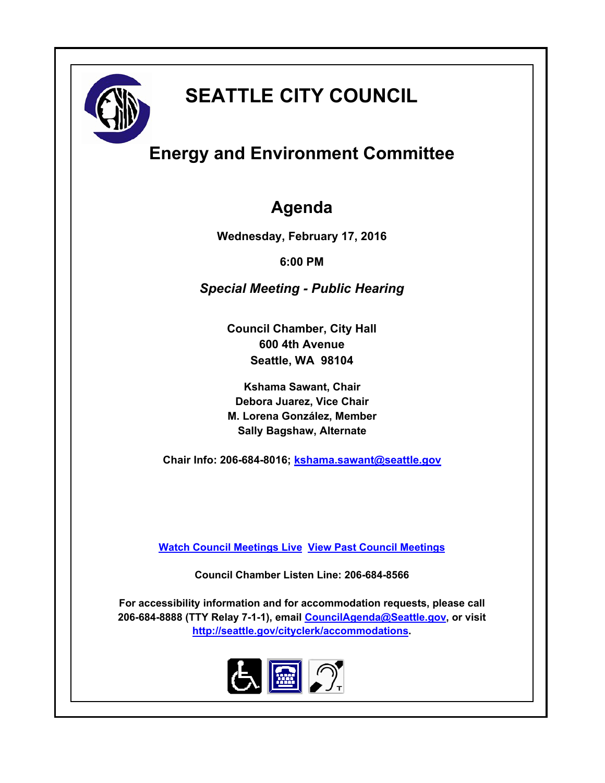

# **SEATTLE CITY COUNCIL**

## **Energy and Environment Committee**

### **Agenda**

**Wednesday, February 17, 2016**

**6:00 PM**

*Special Meeting - Public Hearing*

**Council Chamber, City Hall 600 4th Avenue Seattle, WA 98104**

**Kshama Sawant, Chair Debora Juarez, Vice Chair M. Lorena González, Member Sally Bagshaw, Alternate**

**Chair Info: 206-684-8016; [kshama.sawant@seattle.gov](mailto:kshama.sawant@seattle.gov)**

**[Watch Council Meetings Live](http://www.seattle.gov/council/councillive.htm) [View Past Council Meetings](http://www.seattlechannel.org/videos/browseVideos.asp?topic=council)**

**Council Chamber Listen Line: 206-684-8566**

**For accessibility information and for accommodation requests, please call 206-684-8888 (TTY Relay 7-1-1), email [CouncilAgenda@Seattle.gov](mailto: CouncilAgenda@Seattle.gov), or visit <http://seattle.gov/cityclerk/accommodations>.**

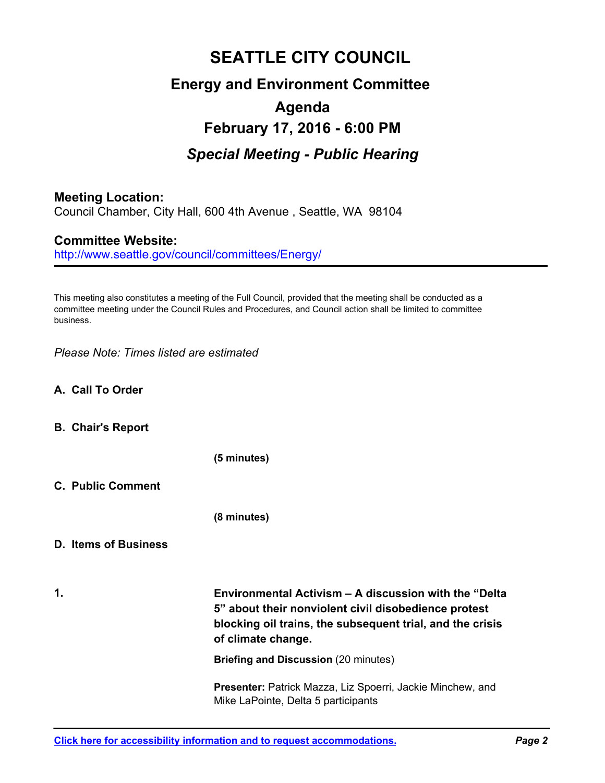## **SEATTLE CITY COUNCIL Energy and Environment Committee Agenda February 17, 2016 - 6:00 PM** *Special Meeting - Public Hearing*

#### **Meeting Location:**

Council Chamber, City Hall, 600 4th Avenue , Seattle, WA 98104

#### **Committee Website:**

http://www.seattle.gov/council/committees/Energy/

This meeting also constitutes a meeting of the Full Council, provided that the meeting shall be conducted as a committee meeting under the Council Rules and Procedures, and Council action shall be limited to committee business.

*Please Note: Times listed are estimated*

- **A. Call To Order**
- **B. Chair's Report**

**(5 minutes)**

**C. Public Comment**

**(8 minutes)**

#### **D. Items of Business**

**1.**

**Environmental Activism – A discussion with the "Delta 5" about their nonviolent civil disobedience protest blocking oil trains, the subsequent trial, and the crisis of climate change.**

**Briefing and Discussion** (20 minutes)

**Presenter:** Patrick Mazza, Liz Spoerri, Jackie Minchew, and Mike LaPointe, Delta 5 participants